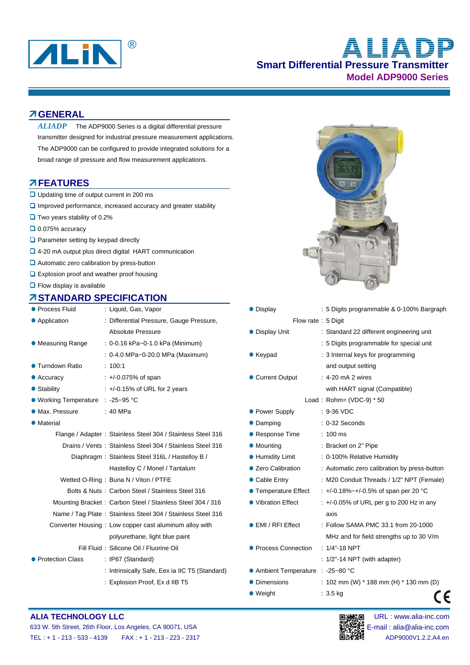

# **Smart Differential Pressure Transmitter Model ADP9000 Series ALIAD**

#### **GENERAL**

The ADP9000 Series is a digital differential pressure transmitter designed for industrial pressure measurement applications. The ADP9000 can be configured to provide integrated solutions for a broad range of pressure and flow measurement applications. *ALIADP* 

#### **FEATURES**

- **□** Updating time of output current in 200 ms
- $\Box$  Improved performance, increased accuracy and greater stability
- $\Box$  Two years stability of 0.2%
- $\Box$  0.075% accuracy
- $\Box$  Parameter setting by keypad directly
- □ 4-20 mA output plus direct digital HART communication
- **■** Automatic zero calibration by press-button
- **Q** Explosion proof and weather proof housing
- $\Box$  Flow display is available

#### **STANDARD SPECIFICATION**

| ● Process Fluid                   | : Liquid, Gas, Vapor                                        | • Display                         | : 5 Digits programmable & 0-100% Bar        |
|-----------------------------------|-------------------------------------------------------------|-----------------------------------|---------------------------------------------|
| • Application                     | : Differential Pressure, Gauge Pressure,                    | Flow rate: 5 Digit                |                                             |
|                                   | <b>Absolute Pressure</b>                                    | • Display Unit                    | : Standard 22 different engineering unit    |
| • Measuring Range                 | : 0-0.16 kPa~0-1.0 kPa (Minimum)                            |                                   | : 5 Digits programmable for special unit    |
|                                   | : 0-4.0 MPa~0-20.0 MPa (Maximum)                            | $\bullet$ Keypad                  | : 3 Internal keys for programming           |
| ● Turndown Ratio                  | : 100.1                                                     |                                   | and output setting                          |
| $\bullet$ Accuracy                | $: +/0.075%$ of span                                        | • Current Output                  | : 4-20 mA 2 wires                           |
| • Stability                       | $\div$ +/-0.15% of URL for 2 years                          |                                   | with HART signal (Compatible)               |
| ● Working Temperature : -25~95 °C |                                                             |                                   | Load: $Rohn = (VDC-9) * 50$                 |
| • Max. Pressure                   | :40 MPa                                                     | • Power Supply                    | $: 9-36$ VDC                                |
| • Material                        |                                                             | • Damping                         | $: 0-32$ Seconds                            |
|                                   | Flange / Adapter: Stainless Steel 304 / Stainless Steel 316 | • Response Time                   | $: 100 \text{ ms}$                          |
|                                   | Drains / Vents: Stainless Steel 304 / Stainless Steel 316   | • Mounting                        | : Bracket on 2" Pipe                        |
|                                   | Diaphragm: Stainless Steel 316L / Hastelloy B /             | <b>• Humidity Limit</b>           | : 0-100% Relative Humidity                  |
|                                   | Hastelloy C / Monel / Tantalum                              | • Zero Calibration                | : Automatic zero calibration by press-bu    |
|                                   | Wetted O-Ring: Buna N / Viton / PTFE                        | • Cable Entry                     | : M20 Conduit Threads / 1/2" NPT (Fer       |
|                                   | Bolts & Nuts: Carbon Steel / Stainless Steel 316            | ● Temperature Effect              | : +/-0.18%~+/-0.5% of span per 20 °C        |
|                                   | Mounting Bracket: Carbon Steel / Stainless Steel 304 / 316  | • Vibration Effect                | $: +/-0.05\%$ of URL per g to 200 Hz in are |
|                                   | Name / Tag Plate: Stainless Steel 304 / Stainless Steel 316 |                                   | axis                                        |
|                                   | Converter Housing: Low copper cast aluminum alloy with      | ● EMI / RFI Effect                | : Follow SAMA PMC 33.1 from 20-1000         |
|                                   | polyurethane, light blue paint                              |                                   | MHz and for field strengths up to 30 V      |
|                                   | Fill Fluid: Silicone Oil / Fluorine Oil                     | • Process Connection              | $: 1/4"$ -18 NPT                            |
| • Protection Class                | : IP67 (Standard)                                           |                                   | : $1/2" - 14$ NPT (with adapter)            |
|                                   | : Intrinsically Safe, Eex ia IIC T5 (Standard)              | ● Ambient Temperature : -25~80 °C |                                             |
|                                   | : Explosion Proof, Ex d IIB T5                              | • Dimensions                      | : 102 mm (W) $*$ 188 mm (H) $*$ 130 mm      |



| Process Fluid                   | : Liquid, Gas, Vapor                                        | • Display                         | : 5 Digits programmable & 0-100% Bargraph     |  |  |  |
|---------------------------------|-------------------------------------------------------------|-----------------------------------|-----------------------------------------------|--|--|--|
| Application                     | : Differential Pressure, Gauge Pressure,                    | Flow rate: 5 Digit                |                                               |  |  |  |
|                                 | <b>Absolute Pressure</b>                                    | • Display Unit                    | : Standard 22 different engineering unit      |  |  |  |
| Measuring Range                 | : 0-0.16 kPa~0-1.0 kPa (Minimum)                            |                                   | : 5 Digits programmable for special unit      |  |  |  |
|                                 | : 0-4.0 MPa~0-20.0 MPa (Maximum)                            | $\bullet$ Keypad                  | : 3 Internal keys for programming             |  |  |  |
| Turndown Ratio                  | : 100:1                                                     |                                   | and output setting                            |  |  |  |
| Accuracy                        | $: +/0.075%$ of span                                        | • Current Output                  | $: 4-20 \text{ mA} 2 \text{ wires}$           |  |  |  |
| Stability                       | $\div$ +/-0.15% of URL for 2 years                          |                                   | with HART signal (Compatible)                 |  |  |  |
| Working Temperature : -25~95 °C |                                                             |                                   | Load: $Rohn = (VDC-9) * 50$                   |  |  |  |
| Max. Pressure                   | : 40 MPa                                                    | • Power Supply                    | $: 9-36$ VDC                                  |  |  |  |
| Material                        |                                                             | • Damping                         | $: 0-32$ Seconds                              |  |  |  |
|                                 | Flange / Adapter: Stainless Steel 304 / Stainless Steel 316 | ● Response Time                   | $: 100$ ms                                    |  |  |  |
|                                 | Drains / Vents: Stainless Steel 304 / Stainless Steel 316   | • Mounting                        | : Bracket on 2" Pipe                          |  |  |  |
|                                 | Diaphragm: Stainless Steel 316L / Hastelloy B /             | <b>• Humidity Limit</b>           | : 0-100% Relative Humidity                    |  |  |  |
|                                 | Hastelloy C / Monel / Tantalum                              | • Zero Calibration                | : Automatic zero calibration by press-button  |  |  |  |
|                                 | Wetted O-Ring: Buna N / Viton / PTFE                        | • Cable Entry                     | : M20 Conduit Threads / 1/2" NPT (Female)     |  |  |  |
|                                 | Bolts & Nuts: Carbon Steel / Stainless Steel 316            | ● Temperature Effect              | : +/-0.18%~+/-0.5% of span per 20 °C          |  |  |  |
|                                 | Mounting Bracket: Carbon Steel / Stainless Steel 304 / 316  | • Vibration Effect                | $\div$ +/-0.05% of URL per g to 200 Hz in any |  |  |  |
|                                 | Name / Tag Plate: Stainless Steel 304 / Stainless Steel 316 |                                   | axis                                          |  |  |  |
|                                 | Converter Housing: Low copper cast aluminum alloy with      | ● EMI / RFI Effect                | : Follow SAMA PMC 33.1 from 20-1000           |  |  |  |
|                                 | polyurethane, light blue paint                              |                                   | MHz and for field strengths up to 30 V/m      |  |  |  |
|                                 | Fill Fluid: Silicone Oil / Fluorine Oil                     | ● Process Connection              | $: 1/4" - 18$ NPT                             |  |  |  |
| <b>Protection Class</b>         | : IP67 (Standard)                                           |                                   | $: 1/2" - 14 \text{ NPT}$ (with adapter)      |  |  |  |
|                                 | : Intrinsically Safe, Eex ia IIC T5 (Standard)              | ● Ambient Temperature : -25~80 °C |                                               |  |  |  |
|                                 | : Explosion Proof, Ex d IIB T5                              | • Dimensions                      | : 102 mm (W) $*$ 188 mm (H) $*$ 130 mm (D)    |  |  |  |
|                                 |                                                             | ● Weight                          | $: 3.5$ kg<br>€                               |  |  |  |

#### **ALIA TECHNOLOGY LLC DEVICED ALIA TECHNOLOGY LLC DEVICED ALIA TECHNOLOGY LLC**

| 633 W. 5th Street, 26th Floor, Los Angeles, CA 90071, USA |                              |
|-----------------------------------------------------------|------------------------------|
| $TEL: + 1 - 213 - 533 - 4139$                             | FAX : + 1 - 213 - 223 - 2317 |



E-mail: alia@alia-inc.com ADP9000V1.2.2.A4.en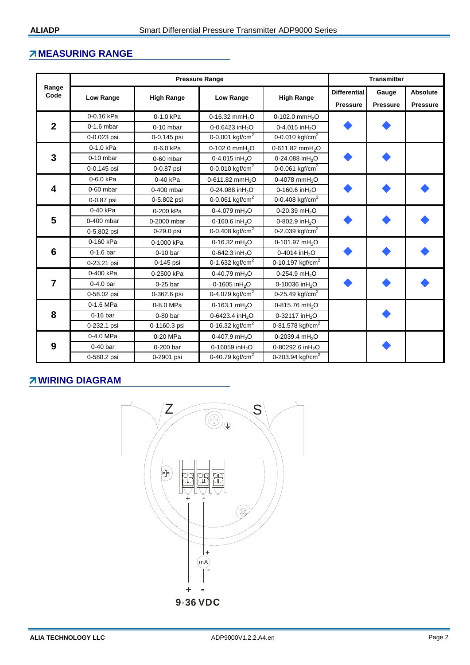## **MEASURING RANGE**

|                 |                           | <b>Pressure Range</b> | <b>Transmitter</b>          |                              |                 |                 |                 |
|-----------------|---------------------------|-----------------------|-----------------------------|------------------------------|-----------------|-----------------|-----------------|
| Range<br>Code   |                           |                       |                             |                              |                 |                 | Absolute        |
|                 | Low Range                 | <b>High Range</b>     | Low Range                   | <b>High Range</b>            | <b>Pressure</b> | <b>Pressure</b> | <b>Pressure</b> |
|                 | 0-0.16 kPa                | 0-1.0 kPa             | 0-16.32 mm $H_2O$           | 0-102.0 mm $H_2O$            |                 |                 |                 |
| $\overline{2}$  | $0-1.6$ mbar              | $0-10$ mbar           | 0-0.6423 inH <sub>2</sub> O | 0-4.015 inH <sub>2</sub> O   |                 |                 |                 |
|                 | 0-0.023 psi               | 0-0.145 psi           | 0-0.001 kgf/cm <sup>2</sup> | 0-0.010 kgf/cm <sup>2</sup>  |                 |                 |                 |
|                 | 0-1.0 kPa                 | 0-6.0 kPa             | 0-102.0 mm $H_2O$           | 0-611.82 mmH <sub>2</sub> O  |                 |                 |                 |
| 3               | $0-10$ mbar               | $0-60$ mbar           | 0-4.015 in $H_2O$           | 0-24.088 inH <sub>2</sub> O  |                 |                 |                 |
|                 | 0-0.145 psi               | 0-0.87 psi            | 0-0.010 kgf/cm <sup>2</sup> | 0-0.061 kgf/cm <sup>2</sup>  |                 |                 |                 |
|                 | 0-6.0 kPa                 | 0-40 kPa              | 0-611.82 mmH <sub>2</sub> O | 0-4078 mmH <sub>2</sub> O    |                 |                 |                 |
| 4               | $0-60$ mbar               | 0-400 mbar            | 0-24.088 inH <sub>2</sub> O |                              |                 |                 |                 |
|                 | 0-0.87 psi                | 0-5.802 psi           | 0-0.061 kgf/cm <sup>2</sup> | 0-0.408 kgf/cm <sup>2</sup>  |                 |                 |                 |
|                 | 0-40 kPa                  | 0-200 kPa             | 0-4.079 mH <sub>2</sub> O   | 0-20.39 mH <sub>2</sub> O    |                 |                 |                 |
| 5               | 0-400 mbar                | 0-2000 mbar           | 0-160.6 inH <sub>2</sub> O  | 0-802.9 inH <sub>2</sub> O   |                 |                 |                 |
|                 | 0-5.802 psi               | 0-29.0 psi            | 0-0.408 kgf/cm <sup>2</sup> | 0-2.039 kgf/cm <sup>2</sup>  |                 |                 |                 |
|                 | 0-160 kPa                 | 0-1000 kPa            | 0-16.32 mH <sub>2</sub> O   | 0-101.97 mH <sub>2</sub> O   |                 |                 |                 |
| $6\phantom{1}6$ | $0-1.6$ bar               | $0-10$ bar            | 0-642.3 in $H_2O$           | 0-4014 $inH2O$               |                 |                 |                 |
|                 | 0-23.21 psi               | 0-145 psi             | 0-1.632 kgf/cm <sup>2</sup> | 0-10.197 $kgf/cm2$           |                 |                 |                 |
|                 | 0-400 kPa                 | 0-2500 kPa            | 0-40.79 mH <sub>2</sub> O   | 0-254.9 mH <sub>2</sub> O    |                 |                 |                 |
| $\overline{7}$  | $0-4.0$ bar<br>$0-25$ bar |                       | 0-1605 inH <sub>2</sub> O   |                              |                 |                 |                 |
|                 | 0-58.02 psi               | 0-362.6 psi           | 0-4.079 kgf/cm <sup>2</sup> | 0-25.49 kgf/cm <sup>2</sup>  |                 |                 |                 |
|                 | 0-1.6 MPa                 | 0-8.0 MPa             | 0-163.1 mH <sub>2</sub> O   | 0-815.76 mH <sub>2</sub> O   |                 |                 |                 |
| 8               | $0-16$ bar                | $0-80$ bar            | 0-6423.4 inH <sub>2</sub> O | 0-32117 in $H_2O$            |                 |                 |                 |
|                 | 0-232.1 psi               | 0-1160.3 psi          | 0-16.32 kgf/cm <sup>2</sup> | 0-81.578 kgf/cm <sup>2</sup> |                 |                 |                 |
|                 | 0-4.0 MPa                 | 0-20 MPa              | 0-407.9 mH <sub>2</sub> O   | 0-2039.4 mH <sub>2</sub> O   |                 |                 |                 |
| 9               | $0-40$ bar                | 0-200 bar             | 0-16059 inH <sub>2</sub> O  | 0-80292.6 inH <sub>2</sub> O |                 |                 |                 |
|                 | 0-580.2 psi               | 0-2901 psi            | 0-40.79 kgf/cm <sup>2</sup> | 0-203.94 kgf/cm <sup>2</sup> |                 |                 |                 |

# *A* **WIRING DIAGRAM**

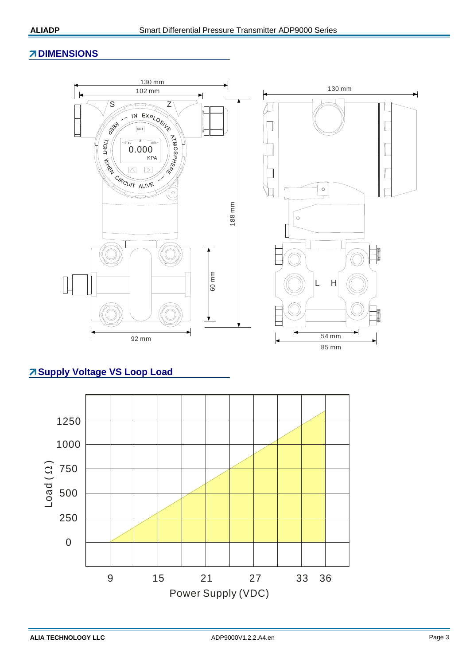## **ZIDIMENSIONS**



# **Supply Voltage VS Loop Load**